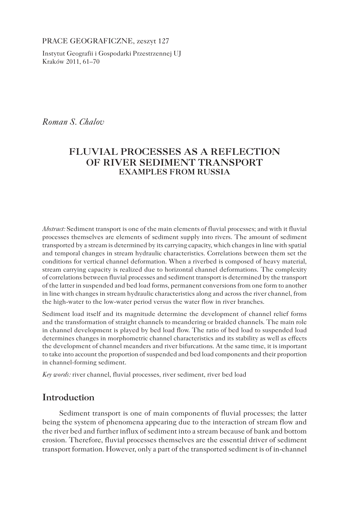Prace Geograficzne, zeszyt 127

Instytut Geografii i Gospodarki Przestrzennej UJ Kraków 2011, 61–70

*Roman S. Chalov*

# **FLUVIAL PROCESSES AS a reflection of river SEDIMENT transport Examples from Russia**

*Abstract:* Sediment transport is one of the main elements of fluvial processes; and with it fluvial processes themselves are elements of sediment supply into rivers. The amount of sediment transported by a stream is determined by its carrying capacity, which changes in line with spatial and temporal changes in stream hydraulic characteristics. Correlations between them set the conditions for vertical channel deformation. When a riverbed is composed of heavy material, stream carrying capacity is realized due to horizontal channel deformations. The complexity of correlations between fluvial processes and sediment transport is determined by the transport of the latter in suspended and bed load forms, permanent conversions from one form to another in line with changes in stream hydraulic characteristics along and across the river channel, from the high-water to the low-water period versus the water flow in river branches.

Sediment load itself and its magnitude determine the development of channel relief forms and the transformation of straight channels to meandering or braided channels. The main role in channel development is played by bed load flow. The ratio of bed load to suspended load determines changes in morphometric channel characteristics and its stability as well as effects the development of channel meanders and river bifurcations. At the same time, it is important to take into account the proportion of suspended and bed load components and their proportion in channel-forming sediment.

*Key words:* river channel, fluvial processes, river sediment, river bed load

# **Introduction**

Sediment transport is one of main components of fluvial processes; the latter being the system of phenomena appearing due to the interaction of stream flow and the river bed and further influx of sediment into a stream because of bank and bottom erosion. Therefore, fluvial processes themselves are the essential driver of sediment transport formation. However, only a part of the transported sediment is of in-channel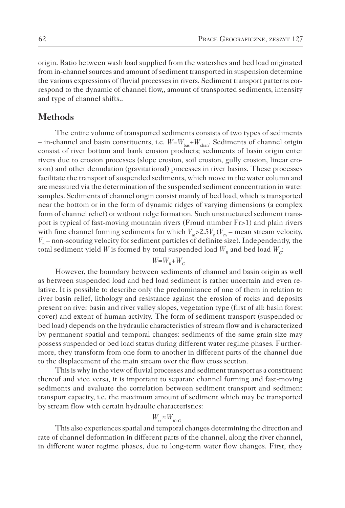origin. Ratio between wash load supplied from the watershes and bed load originated from in-channel sources and amount of sediment transported in suspension determine the various expressions of fluvial processes in rivers. Sediment transport patterns correspond to the dynamic of channel flow,, amount of transported sediments, intensity and type of channel shifts..

## **Methods**

The entire volume of transported sediments consists of two types of sediments – in-channel and basin constituents, i.e.  $W=W_{\text{bas}}+W_{\text{chan}}$ . Sediments of channel origin consist of river bottom and bank erosion products; sediments of basin origin enter rivers due to erosion processes (slope erosion, soil erosion, gully erosion, linear erosion) and other denudation (gravitational) processes in river basins. These processes facilitate the transport of suspended sediments, which move in the water column and are measured via the determination of the suspended sediment concentration in water samples. Sediments of channel origin consist mainly of bed load, which is transported near the bottom or in the form of dynamic ridges of varying dimensions (a complex form of channel relief) or without ridge formation. Such unstructured sediment transport is typical of fast-moving mountain rivers (Froud number Fr>1) and plain rivers with fine channel forming sediments for which  $V_m > 2.5V_n (V_m$  – mean stream velocity, *V*<sub>n</sub> – non-scouring velocity for sediment particles of definite size). Independently, the total sediment yield *W* is formed by total suspended load  $W_p$  and bed load  $W_q$ :

### $W=W_p+W_p$

However, the boundary between sediments of channel and basin origin as well as between suspended load and bed load sediment is rather uncertain and even relative. It is possible to describe only the predominance of one of them in relation to river basin relief, lithology and resistance against the erosion of rocks and deposits present on river basin and river valley slopes, vegetation type (first of all: basin forest cover) and extent of human activity. The form of sediment transport (suspended or bed load) depends on the hydraulic characteristics of stream flow and is characterized by permanent spatial and temporal changes: sediments of the same grain size may possess suspended or bed load status during different water regime phases. Furthermore, they transform from one form to another in different parts of the channel due to the displacement of the main stream over the flow cross section.

This is why in the view of fluvial processes and sediment transport as a constituent thereof and vice versa, it is important to separate channel forming and fast-moving sediments and evaluate the correlation between sediment transport and sediment transport capacity, i.e. the maximum amount of sediment which may be transported by stream flow with certain hydraulic characteristics:

### *W*<sub> $∴ \approx$ </sub>*W*<sub> $B ∴ C$ </sub>

This also experiences spatial and temporal changes determining the direction and rate of channel deformation in different parts of the channel, along the river channel, in different water regime phases, due to long-term water flow changes. First, they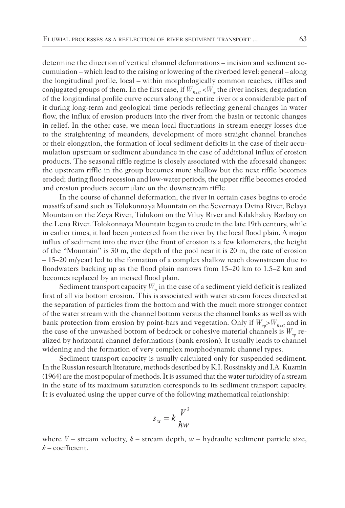determine the direction of vertical channel deformations – incision and sediment accumulation – which lead to the raising or lowering of the riverbed level: general – along the longitudinal profile, local – within morphologically common reaches, riffles and conjugated groups of them. In the first case, if  $W_{R+G} < W_{R+G}$  the river incises; degradation of the longitudinal profile curve occurs along the entire river or a considerable part of it during long-term and geological time periods reflecting general changes in water flow, the influx of erosion products into the river from the basin or tectonic changes in relief. In the other case, we mean local fluctuations in stream energy losses due to the straightening of meanders, development of more straight channel branches or their elongation, the formation of local sediment deficits in the case of their accumulation upstream or sediment abundance in the case of additional influx of erosion products. The seasonal riffle regime is closely associated with the aforesaid changes: the upstream riffle in the group becomes more shallow but the next riffle becomes eroded; during flood recession and low-water periods, the upper riffle becomes eroded and erosion products accumulate on the downstream riffle.

In the course of channel deformation, the river in certain cases begins to erode massifs of sand such as Tolokonnaya Mountain on the Severnaya Dvina River, Belaya Mountain on the Zeya River, Tulukoni on the Viluy River and Kilakhskiy Razboy on the Lena River. Tolokonnaya Mountain began to erode in the late 19th century, while in earlier times, it had been protected from the river by the local flood plain. A major influx of sediment into the river (the front of erosion is a few kilometers, the height of the "Mountain" is 30 m, the depth of the pool near it is 20 m, the rate of erosion – 15–20 m/year) led to the formation of a complex shallow reach downstream due to floodwaters backing up as the flood plain narrows from 15–20 km to 1.5–2 km and becomes replaced by an incised flood plain.

Sediment transport capacity  $W_{\mu}$  in the case of a sediment yield deficit is realized first of all via bottom erosion. This is associated with water stream forces directed at the separation of particles from the bottom and with the much more stronger contact of the water stream with the channel bottom versus the channel banks as well as with bank protection from erosion by point-bars and vegetation. Only if  $W_{m} > W_{R+G}$  and in the case of the unwashed bottom of bedrock or cohesive material channels is  $W_{\text{m}}$  realized by horizontal channel deformations (bank erosion). It usually leads to channel widening and the formation of very complex morphodynamic channel types.

Sediment transport capacity is usually calculated only for suspended sediment. In the Russian research literature, methods described by K.I. Rossinskiy and I.A. Kuzmin (1964) are the most popular of methods. It is assumed that the water turbidity of a stream in the state of its maximum saturation corresponds to its sediment transport capacity. It is evaluated using the upper curve of the following mathematical relationship:

$$
s_{\rm tr} = k \frac{V^3}{hw}
$$

where  $V$  – stream velocity,  $h$  – stream depth,  $w$  – hydraulic sediment particle size, *k* – coefficient.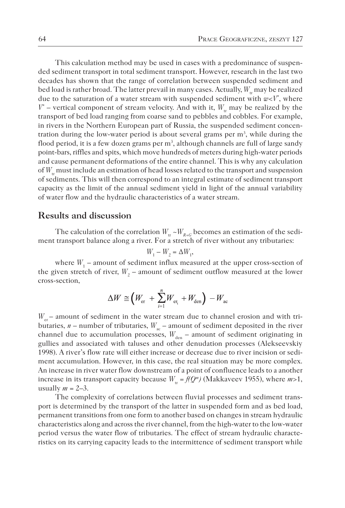This calculation method may be used in cases with a predominance of suspended sediment transport in total sediment transport. However, research in the last two decades has shown that the range of correlation between suspended sediment and bed load is rather broad. The latter prevail in many cases. Actually, *W<sub>u</sub>* may be realized due to the saturation of a water stream with suspended sediment with *w*<*V\** , where  $V^*$  – vertical component of stream velocity. And with it,  $W_{tr}$  may be realized by the transport of bed load ranging from coarse sand to pebbles and cobbles. For example, in rivers in the Northern European part of Russia, the suspended sediment concentration during the low-water period is about several grams per  $m<sup>3</sup>$ , while during the flood period, it is a few dozen grams per  $m<sup>3</sup>$ , although channels are full of large sandy point-bars, riffles and spits, which move hundreds of meters during high-water periods and cause permanent deformations of the entire channel. This is why any calculation of W<sub>u</sub> must include an estimation of head losses related to the transport and suspension of sediments. This will then correspond to an integral estimate of sediment transport capacity as the limit of the annual sediment yield in light of the annual variability of water flow and the hydraulic characteristics of a water stream.

## **Results and discussion**

The calculation of the correlation  $W_{tr} \sim W_{R+G}$  becomes an estimation of the sediment transport balance along a river. For a stretch of river without any tributaries:

$$
W_1 - W_2 = \Delta W_1,
$$

where  $W_1$  – amount of sediment influx measured at the upper cross-section of the given stretch of river,  $W_2$  – amount of sediment outflow measured at the lower cross-section,

$$
\Delta W \cong \left(W_{\mathrm{er}} + \sum_{i=1}^{n} W_{\mathrm{er}_{i}} + W_{\mathrm{den}}\right) - W_{\mathrm{ac}}
$$

*W*<sub>er</sub> – amount of sediment in the water stream due to channel erosion and with tributaries,  $n$  – number of tributaries,  $W_{ac}$  – amount of sediment deposited in the river channel due to accumulation processes,  $W_{den}$  – amount of sediment originating in gullies and associated with taluses and other denudation processes (Alekseevskiy 1998). A river's flow rate will either increase or decrease due to river incision or sediment accumulation. However, in this case, the real situation may be more complex. An increase in river water flow downstream of a point of confluence leads to a another increase in its transport capacity because  $W_{tr} = f(Q^m)$  (Makkaveev 1955), where  $m > 1$ , usually  $m = 2-3$ .

The complexity of correlations between fluvial processes and sediment transport is determined by the transport of the latter in suspended form and as bed load, permanent transitions from one form to another based on changes in stream hydraulic characteristics along and across the river channel, from the high-water to the low-water period versus the water flow of tributaries. The effect of stream hydraulic characteristics on its carrying capacity leads to the intermittence of sediment transport while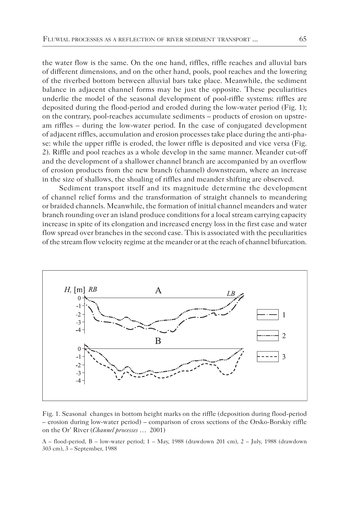the water flow is the same. On the one hand, riffles, riffle reaches and alluvial bars of different dimensions, and on the other hand, pools, pool reaches and the lowering of the riverbed bottom between alluvial bars take place. Meanwhile, the sediment balance in adjacent channel forms may be just the opposite. These peculiarities underlie the model of the seasonal development of pool-riffle systems: riffles are deposited during the flood-period and eroded during the low-water period (Fig. 1); on the contrary, pool-reaches accumulate sediments – products of erosion on upstream riffles – during the low-water period. In the case of conjugated development of adjacent riffles, accumulation and erosion processes take place during the anti-phase: while the upper riffle is eroded, the lower riffle is deposited and vice versa (Fig. 2). Riffle and pool reaches as a whole develop in the same manner. Meander cut-off and the development of a shallower channel branch are accompanied by an overflow of erosion products from the new branch (channel) downstream, where an increase in the size of shallows, the shoaling of riffles and meander shifting are observed.

Sediment transport itself and its magnitude determine the development of channel relief forms and the transformation of straight channels to meandering or braided channels. Meanwhile, the formation of initial channel meanders and water branch rounding over an island produce conditions for a local stream carrying capacity increase in spite of its elongation and increased energy loss in the first case and water flow spread over branches in the second case. This is associated with the peculiarities of the stream flow velocity regime at the meander or at the reach of channel bifurcation.



Fig. 1. Seasonal changes in bottom height marks on the riffle (deposition during flood-period – erosion during low-water period) – comparison of cross sections of the Orsko-Borskiy riffle on the Or' River (*Channel processes* … 2001)

A – flood-period, B – low-water period; 1 – May, 1988 (drawdown 201 cm), 2 – July, 1988 (drawdown 303 cm), 3 – September, 1988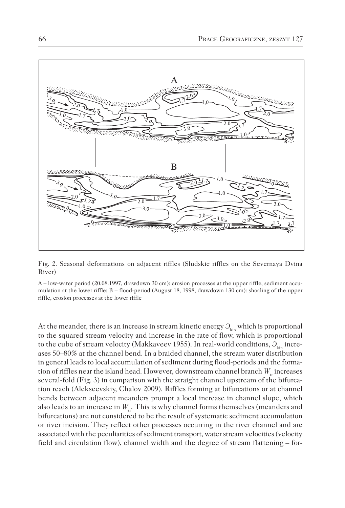

Fig. 2. Seasonal deformations on adjacent riffles (Sludskie riffles on the Severnaya Dvina River)

A – low-water period (20.08.1997, drawdown 30 cm): erosion processes at the upper riffle, sediment accumulation at the lower riffle; B – flood-period (August 18, 1998, drawdown 130 cm): shoaling of the upper riffle, erosion processes at the lower riffle

At the meander, there is an increase in stream kinetic energy  $\Theta_{kin}$  which is proportional to the squared stream velocity and increase in the rate of flow, which is proportional to the cube of stream velocity (Makkaveev 1955). In real-world conditions,  $\theta_{\text{kin}}$  increases 50–80% at the channel bend. In a braided channel, the stream water distribution in general leads to local accumulation of sediment during flood-periods and the formation of riffles near the island head. However, downstream channel branch *W*<sub>tr</sub> increases several-fold (Fig. 3) in comparison with the straight channel upstream of the bifurcation reach (Alekseevskiy, Chalov 2009). Riffles forming at bifurcations or at channel bends between adjacent meanders prompt a local increase in channel slope, which also leads to an increase in W<sub>tr.</sub>. This is why channel forms themselves (meanders and bifurcations) are not considered to be the result of systematic sediment accumulation or river incision. They reflect other processes occurring in the river channel and are associated with the peculiarities of sediment transport, water stream velocities (velocity field and circulation flow), channel width and the degree of stream flattening – for-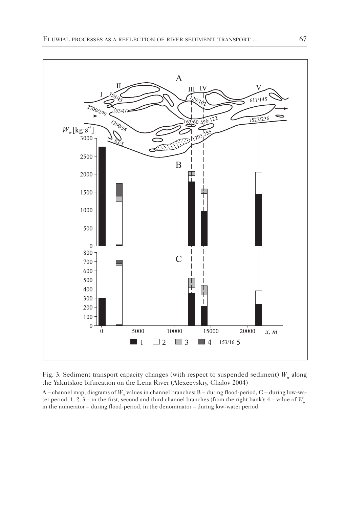

Fig. 3. Sediment transport capacity changes (with respect to suspended sediment)  $W_{tr}$  along the Yakutskoe bifurcation on the Lena River (Alexeevskiy, Chalov 2004)

A – channel map; diagrams of W<sub>tr</sub> values in channel branches: B – during flood-period, C – during low-water period, 1, 2, 3 – in the first, second and third channel branches (from the right bank);  $4$  – value of  $W_{\sigma}$ : in the numerator – during flood-period, in the denominator – during low-water period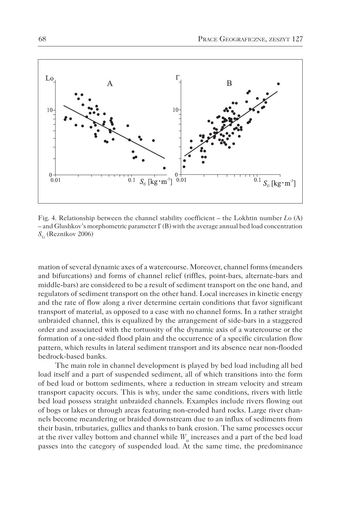

Fig. 4. Relationship between the channel stability coefficient – the Lokhtin number *L*o (A) – and Glushkov's morphometric parameter  $\Gamma(B)$  with the average annual bed load concentration *S<sub>G</sub>* (Reznikov 2006)

mation of several dynamic axes of a watercourse. Moreover, channel forms (meanders and bifurcations) and forms of channel relief (riffles, point-bars, alternate-bars and middle-bars) are considered to be a result of sediment transport on the one hand, and regulators of sediment transport on the other hand. Local increases in kinetic energy and the rate of flow along a river determine certain conditions that favor significant transport of material, as opposed to a case with no channel forms. In a rather straight unbraided channel, this is equalized by the arrangement of side-bars in a staggered order and associated with the tortuosity of the dynamic axis of a watercourse or the formation of a one-sided flood plain and the occurrence of a specific circulation flow pattern, which results in lateral sediment transport and its absence near non-flooded bedrock-based banks.

The main role in channel development is played by bed load including all bed load itself and a part of suspended sediment, all of which transitions into the form of bed load or bottom sediments, where a reduction in stream velocity and stream transport capacity occurs. This is why, under the same conditions, rivers with little bed load possess straight unbraided channels. Examples include rivers flowing out of bogs or lakes or through areas featuring non-eroded hard rocks. Large river channels become meandering or braided downstream due to an influx of sediments from their basin, tributaries, gullies and thanks to bank erosion. The same processes occur at the river valley bottom and channel while  $W_{tr}$  increases and a part of the bed load passes into the category of suspended load. At the same time, the predominance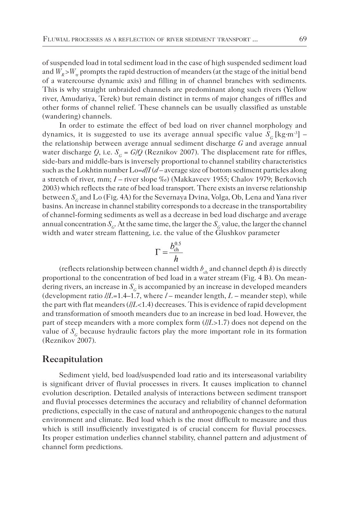of suspended load in total sediment load in the case of high suspended sediment load and  $W_p > W_p$  prompts the rapid destruction of meanders (at the stage of the initial bend of a watercourse dynamic axis) and filling in of channel branches with sediments. This is why straight unbraided channels are predominant along such rivers (Yellow river, Amudariya, Terek) but remain distinct in terms of major changes of riffles and other forms of channel relief. These channels can be usually classified as unstable (wandering) channels.

In order to estimate the effect of bed load on river channel morphology and dynamics, it is suggested to use its average annual specific value  $S_c$  [kg·m<sup>-3</sup>] – the relationship between average annual sediment discharge *G* and average annual water discharge *Q*, i.e.  $S_c = G/Q$  (Reznikov 2007). The displacement rate for riffles, side-bars and middle-bars is inversely proportional to channel stability characteristics such as the Lokhtin number Lo=*d/I* (*d* – average size of bottom sediment particles along a stretch of river, mm; *I* – river slope ‰) (Makkaveev 1955; Chalov 1979; Berkovich 2003) which reflects the rate of bed load transport. There exists an inverse relationship between *S<sub>c</sub>* and Lo (Fig. 4A) for the Severnaya Dvina, Volga, Ob, Lena and Yana river basins. An increase in channel stability corresponds to a decrease in the transportability of channel-forming sediments as well as a decrease in bed load discharge and average annual concentration  $S_c$ . At the same time, the larger the  $S_c$  value, the larger the channel width and water stream flattening, i.e. the value of the Glushkov parameter

$$
\Gamma = \frac{b_{\rm ch}^{0.5}}{h}
$$

(reflects relationship between channel width  $b_{ch}$  and channel depth *h*) is directly proportional to the concentration of bed load in a water stream (Fig. 4 B). On meandering rivers, an increase in  $S<sub>c</sub>$  is accompanied by an increase in developed meanders (development ratio  $l/L = 1.4$ –1.7, where  $l$  – meander length,  $L$  – meander step), while the part with flat meanders (*l/L*<1.4) decreases. This is evidence of rapid development and transformation of smooth meanders due to an increase in bed load. However, the part of steep meanders with a more complex form (*l/L*>1.7) does not depend on the value of  $S_c$  because hydraulic factors play the more important role in its formation (Reznikov 2007).

### **Recapitulation**

Sediment yield, bed load/suspended load ratio and its interseasonal variability is significant driver of fluvial processes in rivers. It causes implication to channel evolution description. Detailed analysis of interactions between sediment transport and fluvial processes determines the accuracy and reliability of channel deformation predictions, especially in the case of natural and anthropogenic changes to the natural environment and climate. Bed load which is the most difficult to measure and thus which is still insufficiently investigated is of crucial concern for fluvial processes. Its proper estimation underlies channel stability, channel pattern and adjustment of channel form predictions.